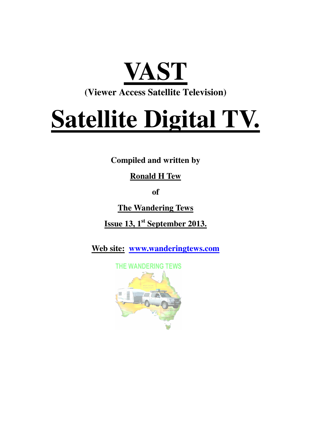

## **Satellite Digital TV.**

**Compiled and written by** 

## **Ronald H Tew**

**of** 

**The Wandering Tews** 

**Issue 13, 1st September 2013.** 

**Web site: www.wanderingtews.com**